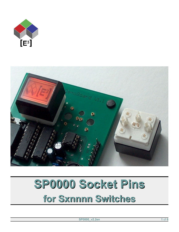



# SP0000 Socket Pins for Sxnnnn Switches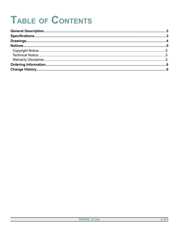# TABLE OF CONTENTS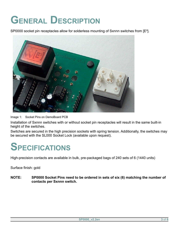# **GENERAL DESCRIPTION**

SP0000 socket pin receptacles allow for solderless mounting of Sxnnn switches from [E<sup>3</sup>].



Image 1: Socket Pins on DemoBoard PCB

Installation of Sxnnn switches with or without socket pin receptacles will result in the same built-in height of the switches.

Switches are secured in the high precision sockets with spring tension. Additionally, the switches may be secured with the SL000 Socket Lock (available upon request).

### **SPECIFICATIONS**

High-precision contacts are available in bulk, pre-packaged bags of 240 sets of 6 (1440 units)

Surface finish: gold

**NOTE: SP0000 Socket Pins need to be ordered in sets of six (6) matching the number of contacts per Sxnnn switch.**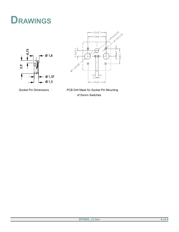### **DRAWINGS**





Socket Pin Dimensions **PCB Drill Mask for Socket Pin Mounting** of Sxnnn Switches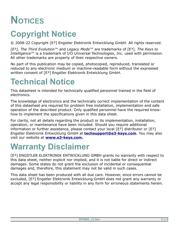# **NOTICES**

#### **Copyright Notice**

© 2008-22 Copyright [E³] Engstler Elektronik Entwicklung GmbH. All rights reserved.

*[E³], The Third Evolution*™ and *Legacy Mode*™ are trademarks of [E³]. *The Keys to Intelligence*™ is a trademark of I/O Universal Technologies, Inc. used with permission. All other trademarks are property of their respective owners.

No part of this publication may be copied, photocopied, reproduced, translated or reduced to any electronic medium or machine-readable form without the expressed written consent of [E<sup>3</sup>] Engstler Elektronik Entwicklung GmbH.

#### **Technical Notice**

This datasheet is intended for technically qualified personnel trained in the field of electronics.

The knowledge of electronics and the technically correct implementation of the content of this datasheet are required for problem free installation, implementation and safe operation of the described product. Only qualified personnel have the required knowhow to implement the specifications given in this data sheet.

For clarity, not all details regarding the product or its implementation, installation, operation, or maintenance have been included. Should you require additional information or further assistance, please contact your local  $[E^3]$  distributor or  $[E^3]$ Engstler Elektronik Entwicklung GmbH at **[techsupport@e3-keys.com](mailto:techsupport@e3-keys.com)**. You may also visit our website at **[www.e3-keys.com](http://www.e3-keys.com/).**

#### **Warranty Disclaimer**

[E<sup>3</sup>] ENGSTLER ELEKTRONIK ENTWICKLUNG GMBH grants no warranty with respect to this data sheet, neither explicit nor implied, and it is not liable for direct or indirect damages. Some states do not grant the exclusion of incidental or consequential damages and, therefore, this statement may not be valid in such cases.

This data sheet has been produced with all due care. However, since errors cannot be excluded, [E<sup>3</sup>] Engstler Elektronik Entwicklung GmbH does not grant any warranty or accept any legal responsibility or liability in any form for erroneous statements herein.